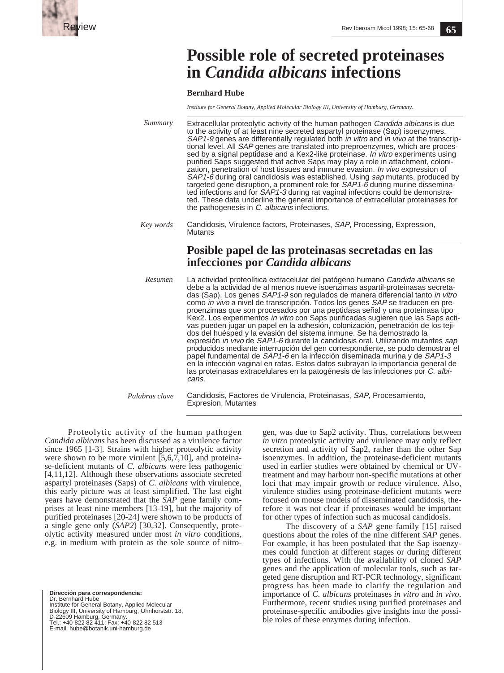

# **Possible role of secreted proteinases in** *Candida albicans* **infections**

**Bernhard Hube**

*Institute for General Botany, Applied Molecular Biology III, University of Hamburg, Germany.*

| Summary   | Extracellular proteolytic activity of the human pathogen Candida albicans is due<br>to the activity of at least nine secreted aspartyl proteinase (Sap) isoenzymes.<br>SAP1-9 genes are differentially regulated both in vitro and in vivo at the transcrip-<br>tional level. All SAP genes are translated into preproenzymes, which are proces-<br>sed by a signal peptidase and a Kex2-like proteinase. In vitro experiments using<br>purified Saps suggested that active Saps may play a role in attachment, coloni-<br>zation, penetration of host tissues and immune evasion. In vivo expression of<br>SAP1-6 during oral candidosis was established. Using sap mutants, produced by<br>targeted gene disruption, a prominent role for SAP1-6 during murine dissemina-<br>ted infections and for SAP1-3 during rat vaginal infections could be demonstra-<br>ted. These data underline the general importance of extracellular proteinases for<br>the pathogenesis in C. albicans infections.                                                                                                                   |
|-----------|----------------------------------------------------------------------------------------------------------------------------------------------------------------------------------------------------------------------------------------------------------------------------------------------------------------------------------------------------------------------------------------------------------------------------------------------------------------------------------------------------------------------------------------------------------------------------------------------------------------------------------------------------------------------------------------------------------------------------------------------------------------------------------------------------------------------------------------------------------------------------------------------------------------------------------------------------------------------------------------------------------------------------------------------------------------------------------------------------------------------|
| Key words | Candidosis, Virulence factors, Proteinases, SAP, Processing, Expression,<br><b>Mutants</b>                                                                                                                                                                                                                                                                                                                                                                                                                                                                                                                                                                                                                                                                                                                                                                                                                                                                                                                                                                                                                           |
|           | Posible papel de las proteinasas secretadas en las<br>infecciones por Candida albicans                                                                                                                                                                                                                                                                                                                                                                                                                                                                                                                                                                                                                                                                                                                                                                                                                                                                                                                                                                                                                               |
| Resumen   | La actividad proteolítica extracelular del patógeno humano Candida albicans se<br>debe a la actividad de al menos nueve isoenzimas aspartil-proteinasas secreta-<br>das (Sap). Los genes SAP1-9 son regulados de manera diferencial tanto in vitro<br>como in vivo a nivel de transcripción. Todos los genes SAP se traducen en pre-<br>proenzimas que son procesados por una peptidasa señal y una proteinasa tipo<br>Kex2. Los experimentos in vitro con Saps purificadas sugieren que las Saps acti-<br>vas pueden jugar un papel en la adhesión, colonización, penetración de los teji-<br>dos del huésped y la evasión del sistema inmune. Se ha demostrado la<br>expresión <i>in vivo</i> de <i>SAP1-6</i> durante la candidosis oral. Utilizando mutantes sap<br>producidos mediante interrupción del gen correspondiente, se pudo demostrar el<br>papel fundamental de SAP1-6 en la infección diseminada murina y de SAP1-3<br>en la infección vaginal en ratas. Estos datos subrayan la importancia general de<br>las proteinasas extracelulares en la patogénesis de las infecciones por C. albi-<br>cans. |

*Palabras clave*

Candidosis, Factores de Virulencia, Proteinasas, SAP, Procesamiento, Expresion, Mutantes

Proteolytic activity of the human pathogen *Candida albicans* has been discussed as a virulence factor since 1965 [1-3]. Strains with higher proteolytic activity were shown to be more virulent [5,6,7,10], and proteinase-deficient mutants of *C. albicans* were less pathogenic [4,11,12]. Although these observations associate secreted aspartyl proteinases (Saps) of *C. albicans* with virulence, this early picture was at least simplified. The last eight years have demonstrated that the *SAP* gene family comprises at least nine members [13-19], but the majority of purified proteinases [20-24] were shown to be products of a single gene only (*SAP2*) [30,32]. Consequently, proteolytic activity measured under most *in vitro* conditions, e.g. in medium with protein as the sole source of nitro-

**Dirección para correspondencia:**  Dr. Bernhard Hube Institute for General Botany, Applied Molecular<br>Biology III, University of Hamburg, Ohnhorststr. 18,<br>D-22609 Hamburg, Germany.<br>Tel.: +40-822 82 411; Fax: +40-822 82 513<br>E-mail: hube@botanik.uni-hamburg.de gen, was due to Sap2 activity. Thus, correlations between *in vitro* proteolytic activity and virulence may only reflect secretion and activity of Sap2, rather than the other Sap isoenzymes. In addition, the proteinase-deficient mutants used in earlier studies were obtained by chemical or UVtreatment and may harbour non-specific mutations at other loci that may impair growth or reduce virulence. Also, virulence studies using proteinase-deficient mutants were focused on mouse models of disseminated candidosis, therefore it was not clear if proteinases would be important for other types of infection such as mucosal candidosis.

The discovery of a *SAP* gene family [15] raised questions about the roles of the nine different *SAP* genes. For example, it has been postulated that the Sap isoenzymes could function at different stages or during different types of infections. With the availability of cloned *SAP* genes and the application of molecular tools, such as targeted gene disruption and RT-PCR technology, significant progress has been made to clarify the regulation and importance of *C. albicans* proteinases *in vitro* and *in vivo*. Furthermore, recent studies using purified proteinases and proteinase-specific antibodies give insights into the possible roles of these enzymes during infection.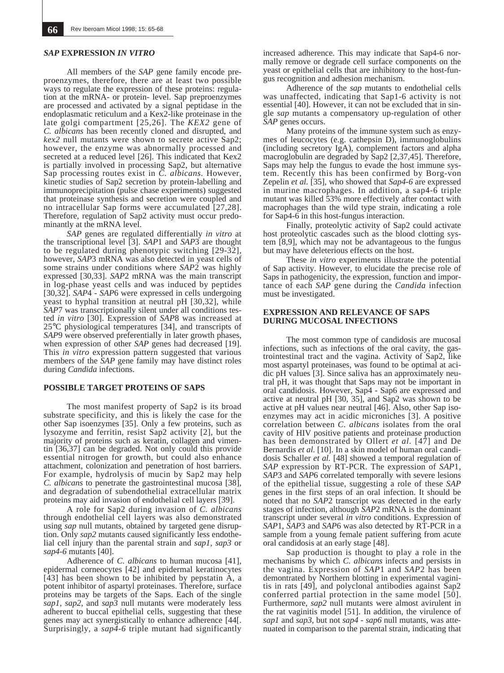#### *SAP* **EXPRESSION** *IN VITRO*

All members of the *SAP* gene family encode preproenzymes, therefore, there are at least two possible ways to regulate the expression of these proteins: regulation at the mRNA- or protein- level. Sap preproenzymes are processed and activated by a signal peptidase in the endoplasmatic reticulum and a Kex2-like proteinase in the late golgi compartment [25,26]. The *KEX2* gene of *C. albicans* has been recently cloned and disrupted, and *kex2* null mutants were shown to secrete active Sap2; however, the enzyme was abnormally processed and secreted at a reduced level [26]. This indicated that Kex2 is partially involved in processing Sap2, but alternative Sap processing routes exist in *C. albicans*. However, kinetic studies of Sap2 secretion by protein-labelling and immunoprecipitation (pulse chase experiments) suggested that proteinase synthesis and secretion were coupled and no intracellular Sap forms were accumulated [27,28]. Therefore, regulation of Sap2 activity must occur predominantly at the mRNA level.

*SAP* genes are regulated differentially *in vitro* at the transcriptional level [3]. *SAP*1 and *SAP*3 are thought to be regulated during phenotypic switching [29-32], however, *SAP*3 mRNA was also detected in yeast cells of some strains under conditions where *SAP*2 was highly expressed [30,33]. *SAP*2 mRNA was the main transcript in log-phase yeast cells and was induced by peptides [30,32]. *SAP*4 - *SAP*6 were expressed in cells undergoing yeast to hyphal transition at neutral pH [30,32], while *SAP*7 was transcriptionally silent under all conditions tested *in vitro* [30]. Expression of *SAP*8 was increased at 25°C physiological temperatures [34], and transcripts of *SAP*9 were observed preferentially in later growth phases, when expression of other *SAP* genes had decreased [19]. This *in vitro* expression pattern suggested that various members of the *SAP* gene family may have distinct roles during *Candida* infections.

### **POSSIBLE TARGET PROTEINS OF SAPS**

The most manifest property of Sap2 is its broad substrate specificity, and this is likely the case for the other Sap isoenzymes [35]. Only a few proteins, such as lysozyme and ferritin, resist Sap2 activity [2], but the majority of proteins such as keratin, collagen and vimentin [36,37] can be degraded. Not only could this provide essential nitrogen for growth, but could also enhance attachment, colonization and penetration of host barriers. For example, hydrolysis of mucin by Sap2 may help *C. albicans* to penetrate the gastrointestinal mucosa [38], and degradation of subendothelial extracellular matrix proteins may aid invasion of endothelial cell layers [39].

A role for Sap2 during invasion of *C. albicans* through endothelial cell layers was also demonstrated using *sap* null mutants, obtained by targeted gene disruption. Only *sap2* mutants caused significantly less endothelial cell injury than the parental strain and *sap1, sap3* or *sap4-6* mutants [40].

Adherence of *C. albicans* to human mucosa [41], epidermal corneocytes [42] and epidermal keratinocytes [43] has been shown to be inhibited by pepstatin A, a potent inhibitor of aspartyl proteinases. Therefore, surface proteins may be targets of the Saps. Each of the single *sap1, sap2*, and *sap3* null mutants were moderately less adherent to buccal epithelial cells, suggesting that these genes may act synergistically to enhance adherence [44[. Surprisingly, a *sap4-6* triple mutant had significantly increased adherence. This may indicate that Sap4-6 normally remove or degrade cell surface components on the yeast or epithelial cells that are inhibitory to the host-fungus recognition and adhesion mechanism.

Adherence of the *sap* mutants to endothelial cells was unaffected, indicating that Sap1-6 activity is not essential [40]. However, it can not be excluded that in single *sap* mutants a compensatory up-regulation of other *SAP* genes occurs.

Many proteins of the immune system such as enzymes of leucocytes (e.g. cathepsin D), immunoglobulins (including secretory IgA), complement factors and alpha macroglobulin are degraded by Sap2 [2,37,45]. Therefore, Saps may help the fungus to evade the host immune system. Recently this has been confirmed by Borg-von Zepelin *et al.* [35], who showed that *Sap4-6* are expressed in murine macrophages. In addition, a sap4-6 triple mutant was killed 53% more effectively after contact with macrophages than the wild type strain, indicating a role for Sap4-6 in this host-fungus interaction.

Finally, proteolytic activity of Sap2 could activate host proteolytic cascades such as the blood clotting system [8,9], which may not be advantageous to the fungus but may have deleterious effects on the host.

These *in vitro* experiments illustrate the potential of Sap activity. However, to elucidate the precise role of Saps in pathogenicity, the expression, function and importance of each *SAP* gene during the *Candida* infection must be investigated.

### **EXPRESSION AND RELEVANCE OF SAPS DURING MUCOSAL INFECTIONS**

The most common type of candidosis are mucosal infections, such as infections of the oral cavity, the gastrointestinal tract and the vagina. Activity of Sap2, like most aspartyl proteinases, was found to be optimal at acidic pH values [3]. Since saliva has an approximately neutral pH, it was thought that Saps may not be important in oral candidosis. However, Sap4 - Sap6 are expressed and active at neutral pH [30, 35], and Sap2 was shown to be active at pH values near neutral [46]. Also, other Sap isoenzymes may act in acidic microniches [3]. A positive correlation between *C. albicans* isolates from the oral cavity of HIV positive patients and proteinase production has been demonstrated by Ollert *et al.* [47] and De Bernardis *et al.* [10]. In a skin model of human oral candidosis Schaller *et al.* [48] showed a temporal regulation of *SAP* expression by RT-PCR. The expression of *SAP*1, *SAP*3 and *SAP*6 correlated temporally with severe lesions of the epithelial tissue, suggesting a role of these *SAP* genes in the first steps of an oral infection. It should be noted that no *SAP*2 transcript was detected in the early stages of infection, although *SAP*2 mRNA is the dominant transcript under several *in vitro* conditions. Expression of *SAP*1, *SAP*3 and *SAP*6 was also detected by RT-PCR in a sample from a young female patient suffering from acute oral candidosis at an early stage [48].

Sap production is thought to play a role in the mechanisms by which *C. albicans* infects and persists in the vagina. Expression of *SAP*1 and *SAP*2 has been demontrated by Northern blotting in experimental vaginitis in rats [49], and polyclonal antibodies against Sap2 conferred partial protection in the same model [50]. Furthermore, *sap2* null mutants were almost avirulent in the rat vaginitis model [51]. In addition, the virulence of *sap1* and *sap3,* but not *sap4* - *sap6* null mutants, was attenuated in comparison to the parental strain, indicating that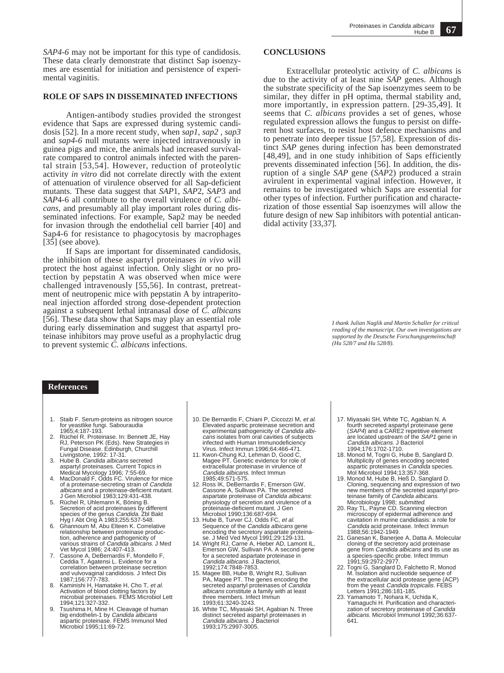*SAP4-6* may not be important for this type of candidosis. These data clearly demonstrate that distinct Sap isoenzymes are essential for initiation and persistence of experimental vaginitis.

## **ROLE OF SAPS IN DISSEMINATED INFECTIONS**

Antigen-antibody studies provided the strongest evidence that Saps are expressed during systemic candidosis [52]. In a more recent study, when *sap1, sap2 , sap3* and *sap4-6* null mutants were injected intravenously in guinea pigs and mice, the animals had increased survivalrate compared to control animals infected with the parental strain [53,54]. However, reduction of proteolytic activity *in vitro* did not correlate directly with the extent of attenuation of virulence observed for all Sap-deficient mutants. These data suggest that *SAP*1, *SAP*2, *SAP*3 and *SAP*4-6 all contribute to the overall virulence of *C. albicans,* and presumably all play important roles during disseminated infections. For example, Sap2 may be needed for invasion through the endothelial cell barrier [40] and Sap4-6 for resistance to phagocytosis by macrophages [35] (see above).

If Saps are important for disseminated candidosis, the inhibition of these aspartyl proteinases *in vivo* will protect the host against infection. Only slight or no protection by pepstatin A was observed when mice were challenged intravenously [55,56]. In contrast, pretreatment of neutropenic mice with pepstatin A by intraperitoneal injection afforded strong dose-dependent protection against a subsequent lethal intranasal dose of *C. albicans* [56]. These data show that Saps may play an essential role during early dissemination and suggest that aspartyl proteinase inhibitors may prove useful as a prophylactic drug to prevent systemic *C. albicans* infections.

### **References**

- 1. Staib F. Serum-proteins as nitrogen source for yeastlike fungi. Sabouraudia 1965;4:187-193.
- 2. Rüchel R. Proteinase. In: Bennett JE, Hay RJ, Peterson PK (Eds). New Strategies in Fungal Disease. Edinburgh, Churchill Livingstone, 1992: 17-31.
- 3. Hube B. Candida albicans secreted aspartyl proteinases. Current Topics in Medical Mycology 1996; 7:55-69. 4. MacDonald F, Odds FC. Virulence for mice
- of a proteinase-secreting strain of Candida albicans and a proteinase-deficient mutant. J Gen Microbiol 1983;129:431-438.
- 5. Rüchel R, Uhlemann K, Böning B. Secretion of acid proteinases by different<br>species of the genus Candida. Zbl Bakt
- Hyg I Abt Orig A 1983;255:537-548. 6. Ghannoum M, Abu Elteen K. Correlative relationship between proteinase production, adherence and pathogenicity of various strains of *Candida albicans*. J Med<br>Vet Mycol 1986; 24:407-413.
- 7. Cassone A, DeBernardis F, Mondello F, Ceddia T, Agatensi L. Evidence for a correlation between proteinase secretion and vulvovaginal candidosis. J Infect Dis 1987;156:777-783.
- 8. Kaminishi H, Hamatake H, Cho T, *et al.*<br>Activation of blood clotting factors by<br>microbial proteinases. FEMS Microbiol Lett<br>1994;121:327-332.
- 9. Tsushima H, Mine H. Cleavage of human big endothelin-1 by Candida albicans aspartic proteinase. FEMS Immunol Med Microbiol 1995;11:69-72.
- 10. De Bernardis F, Chiani P, Ciccozzi M, et al. Elevated aspartic proteinase secretion and experimental pathogenicity of *Candida albi-<br>cans* isolates from oral cavities of subjects infected with Human Immunodeficiency Virus. Infect Immun 1996;64:466-471.
- 11. Kwon-Chung KJ, Lehman D, Good C, Magee PT. Genetic evidence for role of extracellular proteinase in virulence of Candida albicans. Infect Immun 1985;49:571-575.
- 12. Ross IK, DeBernardis F, Emerson GW,<br>Cassone A, Sullivan PA. The secreted<br>aspartate proteinase of *Candida albicans*: physiology of secretion and virulence of a proteinase-deficient mutant. J Gen Microbiol 1990;136:687-694.
- 13. Hube B, Turver CJ, Odds FC, et al. Sequence of the *Candida albicans* gene<br>encoding the secretory aspartate proteinase. J Med Ved Mycol 1991;29:129-131.
- 14. Wright RJ, Carne A, Hieber AD, Lamont IL, Emerson GW, Sullivan PA. A second gene for a secreted aspartate proteinase in Candida albicans. J Bacteriol, 1992;174:7848-7853.
- 15. Magee BB, Hube B, Wright RJ, Sullivan PA, Magee PT. The genes encoding the secreted aspartyl proteinases of Candida albicans constitute a family with at least three members. Infect Immun 1993;61:3240-3243.
- 16. White TC, Miyasaki SH, Agabian N. Three distinct secreted aspartyl proteinases in<br>*Candida albicans*. J Bacteriol 1993;175:2997-3005.

## **CONCLUSIONS**

Extracellular proteolytic activity of *C. albicans* is due to the activity of at least nine *SAP* genes. Although the substrate specificity of the Sap isoenzymes seem to be similar, they differ in pH optima, thermal stability and, more importantly, in expression pattern. [29-35,49]. It seems that *C. albicans* provides a set of genes, whose regulated expression allows the fungus to persist on different host surfaces, to resist host defence mechanisms and to penetrate into deeper tissue [57,58]. Expression of distinct *SAP* genes during infection has been demonstrated [48,49], and in one study inhibition of Saps efficiently prevents disseminated infection [56]. In addition, the disruption of a single *SAP* gene (*SAP*2) produced a strain avirulent in experimental vaginal infection. However, it remains to be investigated which Saps are essential for other types of infection. Further purification and characterization of those essential Sap isoenzymes will allow the future design of new Sap inhibitors with potential anticandidal activity [33,37].

> *I thank Julian Naglik and Martin Schaller for critical reading of the manuscript. Our own investigations are supported by the Deutsche Forschungsgemeinschaft (Hu 528/7 and Hu 528/8).*

- 17. Miyasaki SH, White TC, Agabian N. A fourth secreted aspartyl proteinase gene (SAP4) and a CARE2 repetitive element are located upstream of the SAP1 gene in Candida albicans. J Bacteriol 1994;176:1702-1710.
- 18. Monod M, Togni G, Hube B, Sanglard D. Multiplicity of genes encoding secreted aspartic proteinases in *Candida* species.<br>Mol Microbiol 1994;13:357-368.<br>19. Monod M, Hube B, Heß D, Sanglard D.
- Cloning, sequencing and expression of two new members of the secreted aspartyl pro-<br>teinase family of *Candida albicans*.
- Microbiology 1998; *submitted*.<br>20. Ray TL, Payne CD. Scanning electron<br>microscopy of epidermal adherence and cavitation in murine candidiasis: a role for Candida acid proteinase. Infect Immun 1988;56:1942-1949.
- 21. Ganesan K, Banerjee A, Datta A. Molecular cloning of the secretory acid proteinase<br>gene from *Candida albicans* and its use as a species-specific probe. Infect Immun 1991;59:2972-2977.
- 22. Togni G, Sanglard D, Falchetto R, Monod M. Isolation and nucleotide sequence of the extracellular acid protease gene (ACP)<br>from the yeast *Candida tropicalis*. FEBS
- Letters 1991;286:181-185. 23. Yamamoto T, Nohara K, Uchida K, Yamaguchi H. Purification and characterization of secretory proteinase of *Candida*<br>albicans. Microbiol Immunol 1992;36:637-641.